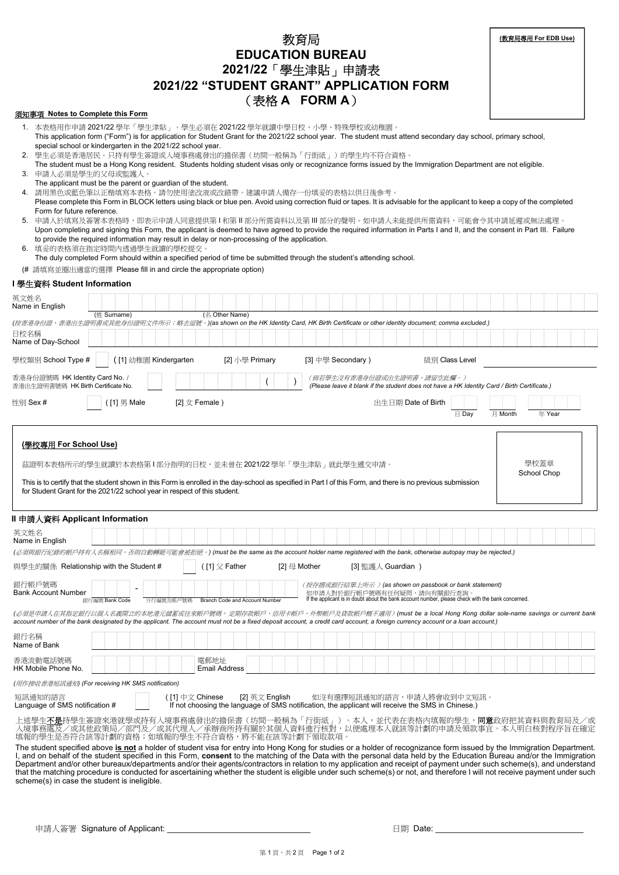| <b>EDUCATION BUREAU</b>                                                                                                                                                                                                                                                                                                                                                                                                                                                                                                                                                                                                                                                                                                                                  |                     |
|----------------------------------------------------------------------------------------------------------------------------------------------------------------------------------------------------------------------------------------------------------------------------------------------------------------------------------------------------------------------------------------------------------------------------------------------------------------------------------------------------------------------------------------------------------------------------------------------------------------------------------------------------------------------------------------------------------------------------------------------------------|---------------------|
| 2021/22「學生津貼」申請表                                                                                                                                                                                                                                                                                                                                                                                                                                                                                                                                                                                                                                                                                                                                         |                     |
| 2021/22 "STUDENT GRANT" APPLICATION FORM                                                                                                                                                                                                                                                                                                                                                                                                                                                                                                                                                                                                                                                                                                                 |                     |
| (表格 A FORM A)                                                                                                                                                                                                                                                                                                                                                                                                                                                                                                                                                                                                                                                                                                                                            |                     |
| 須知事項 Notes to Complete this Form                                                                                                                                                                                                                                                                                                                                                                                                                                                                                                                                                                                                                                                                                                                         |                     |
| 1. 本表格用作申請 2021/22 學年「學生津貼」。學生必須在 2021/22 學年就讀中學日校、小學、特殊學校或幼稚園。<br>This application form ("Form") is for application for Student Grant for the 2021/22 school year. The student must attend secondary day school, primary school,<br>special school or kindergarten in the 2021/22 school year.                                                                                                                                                                                                                                                                                                                                                                                                                                                          |                     |
| 2. 學生必須是香港居民。只持有學生簽證或入境事務處發出的擔保書(坊間一般稱為「行街紙」)的學生均不符合資格。<br>The student must be a Hong Kong resident. Students holding student visas only or recognizance forms issued by the Immigration Department are not eligible.<br>3. 申請人必須是學生的父母或監護人。                                                                                                                                                                                                                                                                                                                                                                                                                                                                                                             |                     |
| The applicant must be the parent or guardian of the student.<br>4. 請用黑色或藍色筆以正楷填寫本表格。請勿使用塗改液或改錯帶。建議申請人備存一份填妥的表格以供日後參考。<br>Please complete this Form in BLOCK letters using black or blue pen. Avoid using correction fluid or tapes. It is advisable for the applicant to keep a copy of the completed<br>Form for future reference.                                                                                                                                                                                                                                                                                                                                                                                                                      |                     |
| 5. 申請人於填寫及簽署本表格時,即表示申請人同意提供第Ⅰ和第Ⅱ部分所需資料以及第Ⅲ部分的聲明。如申請人未能提供所需資料,可能會令其申請延遲或無法處理。<br>Upon completing and signing this Form, the applicant is deemed to have agreed to provide the required information in Parts I and II, and the consent in Part III. Failure<br>to provide the required information may result in delay or non-processing of the application.                                                                                                                                                                                                                                                                                                                                                                                               |                     |
| 6. 填妥的表格須在指定時間內透過學生就讀的學校提交。<br>The duly completed Form should within a specified period of time be submitted through the student's attending school.<br>(# 請填寫並圈出適當的選擇 Please fill in and circle the appropriate option)                                                                                                                                                                                                                                                                                                                                                                                                                                                                                                                                 |                     |
| I 學生資料 Student Information                                                                                                                                                                                                                                                                                                                                                                                                                                                                                                                                                                                                                                                                                                                               |                     |
| 英文姓名<br>Name in English                                                                                                                                                                                                                                                                                                                                                                                                                                                                                                                                                                                                                                                                                                                                  |                     |
| (名 Other Name)<br>(姓 Surname)<br>(按香港身份證、香港出生證明書或其他身份證明文件所示;略去逗號。)(as shown on the HK Identity Card, HK Birth Certificate or other identity document; comma excluded.)                                                                                                                                                                                                                                                                                                                                                                                                                                                                                                                                                                                   |                     |
| 日校名稱<br>Name of Day-School                                                                                                                                                                                                                                                                                                                                                                                                                                                                                                                                                                                                                                                                                                                               |                     |
| 學校類別 School Type #<br>([1] 幼稚園 Kindergarten<br>[2] 小學 Primary<br>[3] 中學 Secondary)<br>級別 Class Level                                                                                                                                                                                                                                                                                                                                                                                                                                                                                                                                                                                                                                                     |                     |
| 香港身份證號碼 HK Identity Card No. /<br>(倘若學生沒有香港身份證或出生證明書,請留空此欄。)<br>(Please leave it blank if the student does not have a HK Identity Card / Birth Certificate.)<br>香港出生證明書號碼 HK Birth Certificate No.                                                                                                                                                                                                                                                                                                                                                                                                                                                                                                                                                       |                     |
| [2] $\pm$ Female)<br>性别 Sex #<br>([1] 男 Male<br>出生日期 Date of Birth<br>$\boxminus$ Day                                                                                                                                                                                                                                                                                                                                                                                                                                                                                                                                                                                                                                                                    | 月 Month<br>年 Year   |
| (學校專用 For School Use)<br>茲證明本表格所示的學生就讀於本表格第1部分指明的日校,並未曾在 2021/22 學年「學生津貼」就此學生遞交申請。<br>This is to certify that the student shown in this Form is enrolled in the day-school as specified in Part I of this Form, and there is no previous submission<br>for Student Grant for the 2021/22 school year in respect of this student.                                                                                                                                                                                                                                                                                                                                                                                                                         | 學校蓋章<br>School Chop |
| II 申請人資料 Applicant Information                                                                                                                                                                                                                                                                                                                                                                                                                                                                                                                                                                                                                                                                                                                           |                     |
| 英文姓名<br>Name in English                                                                                                                                                                                                                                                                                                                                                                                                                                                                                                                                                                                                                                                                                                                                  |                     |
| (必須與銀行紀錄的帳戶持有人名稱相同,否則自動轉賬可能會被拒絕。) (must be the same as the account holder name registered with the bank, otherwise autopay may be rejected.)                                                                                                                                                                                                                                                                                                                                                                                                                                                                                                                                                                                                             |                     |
| 與學生的關係 Relationship with the Student #<br>([1] 父 Father<br>[2] $\boxplus$ Mother<br>[3] 監護人 Guardian )                                                                                                                                                                                                                                                                                                                                                                                                                                                                                                                                                                                                                                                   |                     |
| 銀行帳戶號碼<br>(按存摺或銀行結單上所示) (as shown on passbook or bank statement)<br>如申請人對於銀行帳戶號碼有任何疑問,請向有關銀行查詢<br><b>Bank Account Number</b><br>If the applicant is in doubt about the bank account number, please check with the bank concerned.<br>分行編號及帳戶號碼<br>Branch Code and Account Number<br>銀行編號 Bank Code                                                                                                                                                                                                                                                                                                                                                                                                                                                       |                     |
| (必須是申請人在其指定銀行以個人名義開立的本地港元儲蓄或往來帳戶號碼。定期存款帳戶,信用卡帳戶,外幣帳戶及貸款帳戶概不適用)(must be a local Hong Kong dollar sole-name savings or current bank<br>account number of the bank designated by the applicant. The account must not be a fixed deposit account, a credit card account, a foreign currency account or a loan account.)                                                                                                                                                                                                                                                                                                                                                                                                                                      |                     |
| 銀行名稱<br>Name of Bank                                                                                                                                                                                                                                                                                                                                                                                                                                                                                                                                                                                                                                                                                                                                     |                     |
| 電郵地址<br>香港流動電話號碼<br>HK Mobile Phone No.<br><b>Email Address</b>                                                                                                                                                                                                                                                                                                                                                                                                                                                                                                                                                                                                                                                                                          |                     |
| (用作接收香港短訊通知) (For receiving HK SMS notification)                                                                                                                                                                                                                                                                                                                                                                                                                                                                                                                                                                                                                                                                                                         |                     |
| 短訊通知的語言<br>([1] 中文 Chinese<br>[2] 英文 English<br>如沒有選擇短訊通知的語言,申請人將會收到中文短訊。<br>If not choosing the language of SMS notification, the applicant will receive the SMS in Chinese.)<br>Language of SMS notification #                                                                                                                                                                                                                                                                                                                                                                                                                                                                                                                                         |                     |
| 上述學生 <b>不是</b> 持學生簽證來港就學或持有人境事務處發出的擔保書(坊間一般稱為「行街紙」)。本人,並代表在表格內填報的學生, <b>同意</b> 政府把其資料與教育局及/或<br>入境事務處及/或其他政策局/部門及/或其代理人/承辦商所持有關於其個人資料進行核對,以便處理本人就該等計劃的申請及領款事宜。本人明白核對程序旨在確定<br>填報的學生是否符合該等計劃的資格;如填報的學生不符合資格,將不能在該等計劃下領取款項。                                                                                                                                                                                                                                                                                                                                                                                                                                                                                                                                |                     |
| The student specified above is not a holder of student visa for entry into Hong Kong for studies or a holder of recognizance form issued by the Immigration Department.<br>I, and on behalf of the student specified in this Form, consent to the matching of the Data with the personal data held by the Education Bureau and/or the Immigration<br>Department and/or other bureaux/departments and/or their agents/contractors in relation to my application and receipt of payment under such scheme(s), and understand<br>that the matching procedure is conducted for ascertaining whether the student is eligible under such scheme(s) or not, and therefore I will not receive payment under such<br>scheme(s) in case the student is ineligible. |                     |

教育局

**(**教育局專用 **For EDB Use)**